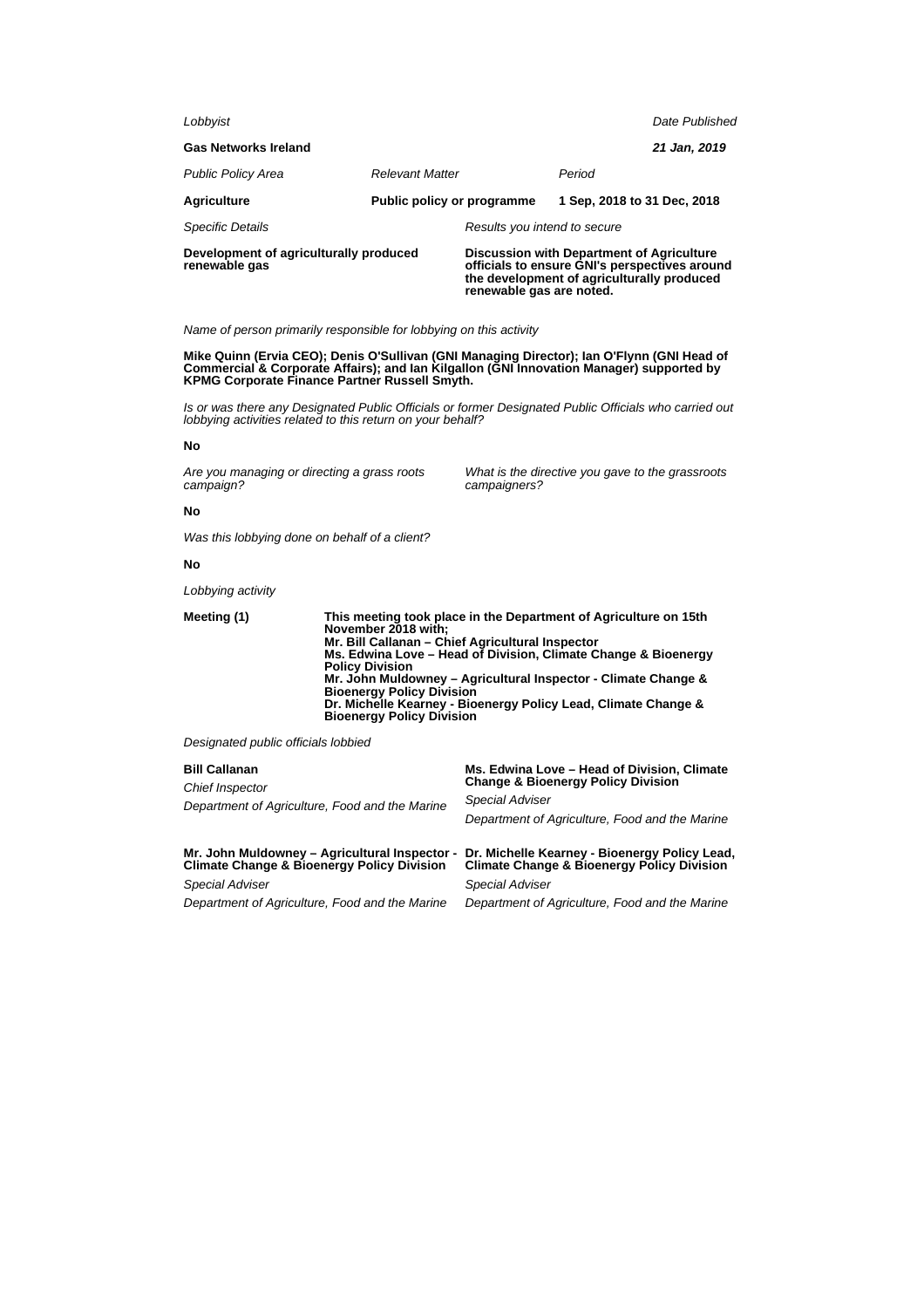| Lobbyist                                                |                            |                                                                                                                                                                      |                             | Date Published |
|---------------------------------------------------------|----------------------------|----------------------------------------------------------------------------------------------------------------------------------------------------------------------|-----------------------------|----------------|
| <b>Gas Networks Ireland</b>                             |                            |                                                                                                                                                                      |                             | 21 Jan, 2019   |
| <b>Public Policy Area</b>                               | <b>Relevant Matter</b>     |                                                                                                                                                                      | Period                      |                |
| <b>Agriculture</b>                                      | Public policy or programme |                                                                                                                                                                      | 1 Sep. 2018 to 31 Dec. 2018 |                |
| <b>Specific Details</b>                                 |                            | Results you intend to secure                                                                                                                                         |                             |                |
| Development of agriculturally produced<br>renewable gas |                            | Discussion with Department of Agriculture<br>officials to ensure GNI's perspectives around<br>the development of agriculturally produced<br>renewable gas are noted. |                             |                |

Name of person primarily responsible for lobbying on this activity

**Mike Quinn (Ervia CEO); Denis O'Sullivan (GNI Managing Director); Ian O'Flynn (GNI Head of Commercial & Corporate Affairs); and Ian Kilgallon (GNI Innovation Manager) supported by KPMG Corporate Finance Partner Russell Smyth.**

Is or was there any Designated Public Officials or former Designated Public Officials who carried out lobbying activities related to this return on your behalf?

#### **No**

Are you managing or directing a grass roots campaign?

What is the directive you gave to the grassroots campaigners?

## **No**

Was this lobbying done on behalf of a client?

## **No**

Lobbying activity

| Meeting (1) | This meeting took place in the Department of Agriculture on 15th<br>November 2018 with:<br>Mr. Bill Callanan - Chief Agricultural Inspector<br>Ms. Edwina Love – Head of Division, Climate Change & Bioenergy<br><b>Policy Division</b><br>Mr. John Muldowney - Agricultural Inspector - Climate Change & |
|-------------|-----------------------------------------------------------------------------------------------------------------------------------------------------------------------------------------------------------------------------------------------------------------------------------------------------------|
|             | <b>Bioenergy Policy Division</b><br>Dr. Michelle Kearney - Bioenergy Policy Lead, Climate Change &<br><b>Bioenergy Policy Division</b>                                                                                                                                                                    |

Designated public officials lobbied

| <b>Bill Callanan</b><br>Chief Inspector<br>Department of Agriculture, Food and the Marine              | Ms. Edwina Love - Head of Division, Climate<br><b>Change &amp; Bioenergy Policy Division</b><br>Special Adviser<br>Department of Agriculture, Food and the Marine |
|--------------------------------------------------------------------------------------------------------|-------------------------------------------------------------------------------------------------------------------------------------------------------------------|
| Mr. John Muldowney - Agricultural Inspector -<br><b>Climate Change &amp; Bioenergy Policy Division</b> | Dr. Michelle Kearney - Bioenergy Policy Lead,<br><b>Climate Change &amp; Bioenergy Policy Division</b>                                                            |
| <b>Special Adviser</b>                                                                                 | Special Adviser                                                                                                                                                   |
| Department of Agriculture, Food and the Marine                                                         | Department of Agriculture, Food and the Marine                                                                                                                    |